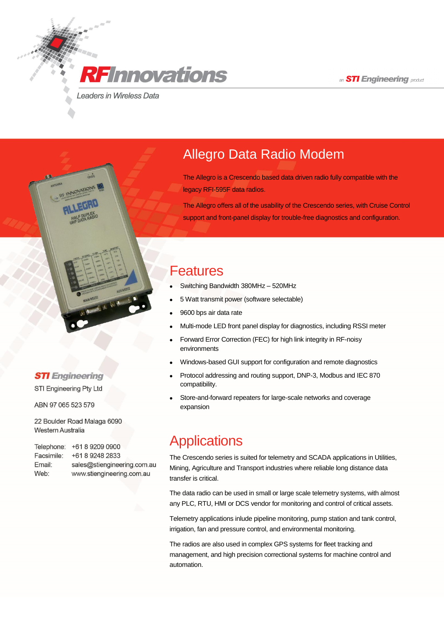an **STI Engineering** product

**RF**Innovations

Leaders in Wireless Data

## Allegro Data Radio Modem

The Allegro is a Crescendo based data driven radio fully compatible with the legacy RFI-595F data radios.

The Allegro offers all of the usability of the Crescendo series, with Cruise Control support and front-panel display for trouble-free diagnostics and configuration.

#### Features

- Switching Bandwidth 380MHz 520MHz
- 5 Watt transmit power (software selectable)
- 9600 bps air data rate
- Multi-mode LED front panel display for diagnostics, including RSSI meter
- Forward Error Correction (FEC) for high link integrity in RF-noisy environments
- Windows-based GUI support for configuration and remote diagnostics
- Protocol addressing and routing support, DNP-3, Modbus and IEC 870 compatibility.
- Store-and-forward repeaters for large-scale networks and coverage expansion

## **Applications**

The Crescendo series is suited for telemetry and SCADA applications in Utilities, Mining, Agriculture and Transport industries where reliable long distance data transfer is critical.

The data radio can be used in small or large scale telemetry systems, with almost any PLC, RTU, HMI or DCS vendor for monitoring and control of critical assets.

Telemetry applications inlude pipeline monitoring, pump station and tank control, irrigation, fan and pressure control, and environmental monitoring.

The radios are also used in complex GPS systems for fleet tracking and management, and high precision correctional systems for machine control and automation.

#### **STI** Engineering

STI Engineering Pty Ltd

ABN 97 065 523 579

22 Boulder Road Malaga 6090 Western Australia

| Telephone: | +61 8 9209 0900             |
|------------|-----------------------------|
| Facsimile: | +61 8 9248 2833             |
| Email:     | sales@stiengineering.com.au |
| Web:       | www.stiengineering.com.au   |